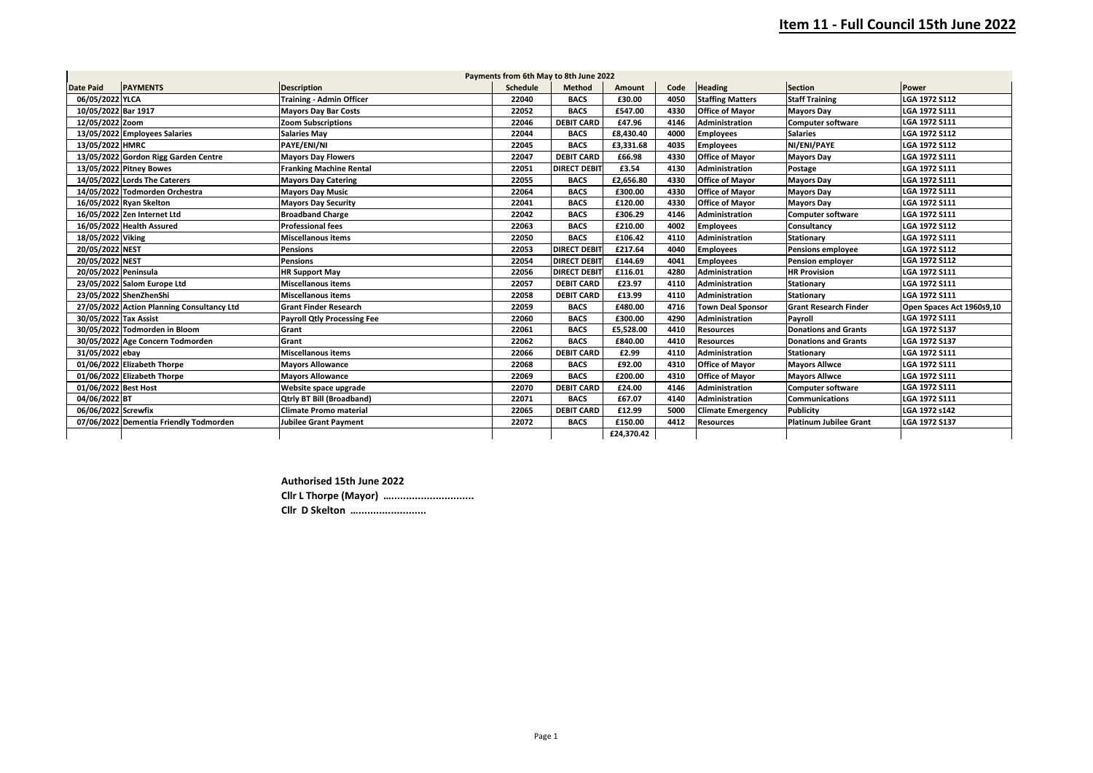| Payments from 6th May to 8th June 2022 |                                            |                                    |                 |                     |               |      |                          |                               |                           |
|----------------------------------------|--------------------------------------------|------------------------------------|-----------------|---------------------|---------------|------|--------------------------|-------------------------------|---------------------------|
| <b>Date Paid</b>                       | <b>PAYMENTS</b>                            | <b>Description</b>                 | <b>Schedule</b> | Method              | <b>Amount</b> | Code | <b>Heading</b>           | <b>Section</b>                | <b>Power</b>              |
| 06/05/2022 YLCA                        |                                            | <b>Training - Admin Officer</b>    | 22040           | <b>BACS</b>         | £30.00        | 4050 | <b>Staffing Matters</b>  | <b>Staff Training</b>         | LGA 1972 S112             |
| 10/05/2022 Bar 1917                    |                                            | <b>Mayors Day Bar Costs</b>        | 22052           | <b>BACS</b>         | £547.00       | 4330 | <b>Office of Mayor</b>   | <b>Mayors Day</b>             | LGA 1972 S111             |
| 12/05/2022 Zoom                        |                                            | <b>Zoom Subscriptions</b>          | 22046           | <b>DEBIT CARD</b>   | £47.96        | 4146 | <b>Administration</b>    | <b>Computer software</b>      | LGA 1972 S111             |
|                                        | 13/05/2022 Employees Salaries              | <b>Salaries May</b>                | 22044           | <b>BACS</b>         | £8,430.40     | 4000 | <b>Employees</b>         | <b>Salaries</b>               | LGA 1972 S112             |
| 13/05/2022 HMRC                        |                                            | PAYE/ENI/NI                        | 22045           | <b>BACS</b>         | £3,331.68     | 4035 | <b>Employees</b>         | NI/ENI/PAYE                   | LGA 1972 S112             |
|                                        | 13/05/2022 Gordon Rigg Garden Centre       | <b>Mayors Day Flowers</b>          | 22047           | <b>DEBIT CARD</b>   | £66.98        | 4330 | <b>Office of Mayor</b>   | <b>Mayors Day</b>             | LGA 1972 S111             |
|                                        | 13/05/2022 Pitney Bowes                    | <b>Franking Machine Rental</b>     | 22051           | <b>DIRECT DEBIT</b> | £3.54         | 4130 | <b>Administration</b>    | Postage                       | LGA 1972 S111             |
|                                        | 14/05/2022 Lords The Caterers              | <b>Mayors Day Catering</b>         | 22055           | <b>BACS</b>         | £2,656.80     | 4330 | <b>Office of Mayor</b>   | <b>Mayors Day</b>             | LGA 1972 S111             |
|                                        | 14/05/2022 Todmorden Orchestra             | <b>Mayors Day Music</b>            | 22064           | <b>BACS</b>         | £300.00       | 4330 | <b>Office of Mayor</b>   | <b>Mayors Day</b>             | LGA 1972 S111             |
|                                        | 16/05/2022 Ryan Skelton                    | <b>Mayors Day Security</b>         | 22041           | <b>BACS</b>         | £120.00       | 4330 | <b>Office of Mavor</b>   | <b>Mayors Day</b>             | LGA 1972 S111             |
|                                        | 16/05/2022 Zen Internet Ltd                | <b>Broadband Charge</b>            | 22042           | <b>BACS</b>         | £306.29       | 4146 | <b>Administration</b>    | <b>Computer software</b>      | LGA 1972 S111             |
|                                        | 16/05/2022 Health Assured                  | <b>Professional fees</b>           | 22063           | <b>BACS</b>         | £210.00       | 4002 | <b>Employees</b>         | Consultancy                   | LGA 1972 S112             |
| 18/05/2022 Viking                      |                                            | <b>Miscellanous items</b>          | 22050           | <b>BACS</b>         | £106.42       | 4110 | <b>Administration</b>    | <b>Stationary</b>             | LGA 1972 S111             |
| 20/05/2022 NEST                        |                                            | <b>Pensions</b>                    | 22053           | <b>DIRECT DEBIT</b> | £217.64       | 4040 | <b>Employees</b>         | <b>Pensions employee</b>      | LGA 1972 S112             |
| 20/05/2022 NEST                        |                                            | <b>Pensions</b>                    | 22054           | <b>DIRECT DEBIT</b> | £144.69       | 4041 | <b>Employees</b>         | <b>Pension employer</b>       | LGA 1972 S112             |
| 20/05/2022 Peninsula                   |                                            | <b>HR Support May</b>              | 22056           | <b>DIRECT DEBIT</b> | £116.01       | 4280 | <b>Administration</b>    | <b>HR Provision</b>           | <b>LGA 1972 S111</b>      |
|                                        | 23/05/2022 Salom Europe Ltd                | <b>Miscellanous items</b>          | 22057           | <b>DEBIT CARD</b>   | £23.97        | 4110 | Administration           | <b>Stationary</b>             | LGA 1972 S111             |
|                                        | 23/05/2022 ShenZhenShi                     | <b>Miscellanous items</b>          | 22058           | <b>DEBIT CARD</b>   | £13.99        | 4110 | Administration           | <b>Stationary</b>             | LGA 1972 S111             |
|                                        | 27/05/2022 Action Planning Consultancy Ltd | <b>Grant Finder Research</b>       | 22059           | <b>BACS</b>         | £480.00       | 4716 | <b>Town Deal Sponsor</b> | <b>Grant Research Finder</b>  | Open Spaces Act 1960s9,10 |
| 30/05/2022 Tax Assist                  |                                            | <b>Payroll Qtly Processing Fee</b> | 22060           | <b>BACS</b>         | £300.00       | 4290 | <b>Administration</b>    | Payroll                       | LGA 1972 S111             |
|                                        | 30/05/2022 Todmorden in Bloom              | Grant                              | 22061           | <b>BACS</b>         | £5,528.00     | 4410 | <b>Resources</b>         | <b>Donations and Grants</b>   | LGA 1972 S137             |
|                                        | 30/05/2022 Age Concern Todmorden           | Grant                              | 22062           | <b>BACS</b>         | £840.00       | 4410 | <b>Resources</b>         | Donations and Grants          | <b>LGA 1972 S137</b>      |
| 31/05/2022 ebay                        |                                            | <b>Miscellanous items</b>          | 22066           | <b>DEBIT CARD</b>   | £2.99         | 4110 | <b>Administration</b>    | Stationary                    | LGA 1972 S111             |
|                                        | 01/06/2022 Elizabeth Thorpe                | <b>Mayors Allowance</b>            | 22068           | <b>BACS</b>         | £92.00        | 4310 | <b>Office of Mayor</b>   | <b>Mayors Allwce</b>          | LGA 1972 S111             |
|                                        | 01/06/2022 Elizabeth Thorpe                | <b>Mayors Allowance</b>            | 22069           | <b>BACS</b>         | £200.00       | 4310 | <b>Office of Mayor</b>   | <b>Mayors Allwce</b>          | LGA 1972 S111             |
| 01/06/2022 Best Host                   |                                            | Website space upgrade              | 22070           | <b>DEBIT CARD</b>   | £24.00        | 4146 | <b>Administration</b>    | <b>Computer software</b>      | LGA 1972 S111             |
| 04/06/2022 BT                          |                                            | <b>Otriv BT Bill (Broadband)</b>   | 22071           | <b>BACS</b>         | £67.07        | 4140 | <b>Administration</b>    | <b>Communications</b>         | LGA 1972 S111             |
| 06/06/2022 Screwfix                    |                                            | <b>Climate Promo material</b>      | 22065           | <b>DEBIT CARD</b>   | £12.99        | 5000 | <b>Climate Emergency</b> | <b>Publicity</b>              | LGA 1972 s142             |
|                                        | 07/06/2022 Dementia Friendly Todmorden     | <b>Jubilee Grant Payment</b>       | 22072           | <b>BACS</b>         | £150.00       | 4412 | Resources                | <b>Platinum Jubilee Grant</b> | LGA 1972 S137             |
|                                        |                                            |                                    |                 |                     | £24,370.42    |      |                          |                               |                           |

**Authorised 15th June 2022**

**Cllr L Thorpe (Mayor) …............................**

**Cllr D Skelton ….......................**